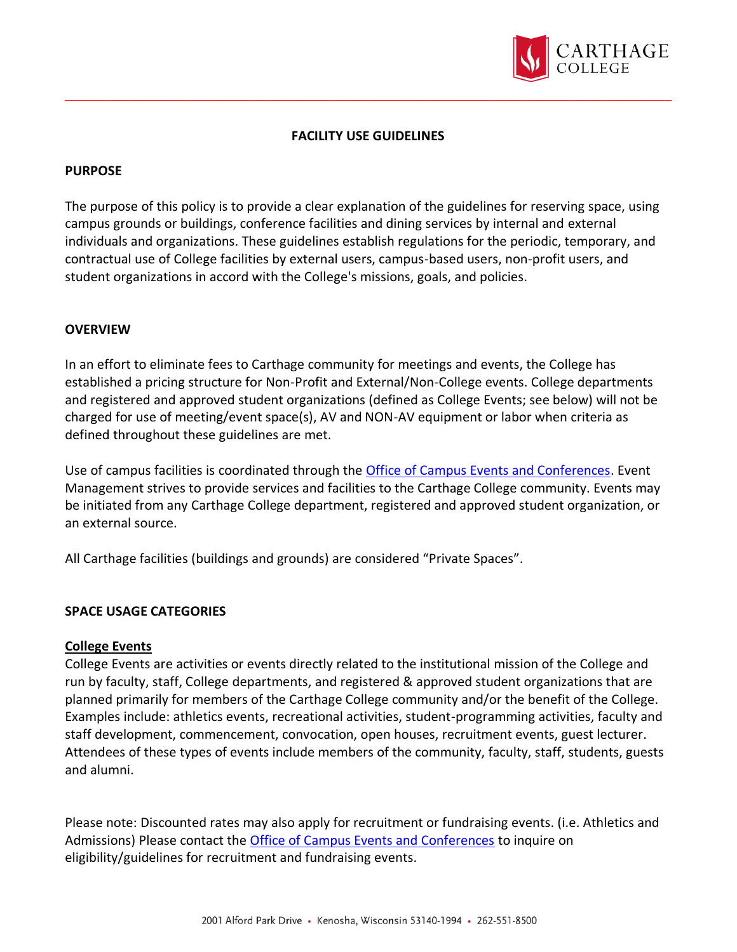

## **FACILITY USE GUIDELINES**

### **PURPOSE**

The purpose of this policy is to provide a clear explanation of the guidelines for reserving space, using campus grounds or buildings, conference facilities and dining services by internal and external individuals and organizations. These guidelines establish regulations for the periodic, temporary, and contractual use of College facilities by external users, campus-based users, non-profit users, and student organizations in accord with the College's missions, goals, and policies.

#### **OVERVIEW**

In an effort to eliminate fees to Carthage community for meetings and events, the College has established a pricing structure for Non-Profit and External/Non-College events. College departments and registered and approved student organizations (defined as College Events; see below) will not be charged for use of meeting/event space(s), AV and NON-AV equipment or labor when criteria as defined throughout these guidelines are met.

Use of campus facilities is coordinated through the [Office of Campus Events and Conferences.](https://www.carthage.edu/community/conference-services/) Event Management strives to provide services and facilities to the Carthage College community. Events may be initiated from any Carthage College department, registered and approved student organization, or an external source.

All Carthage facilities (buildings and grounds) are considered "Private Spaces".

### **SPACE USAGE CATEGORIES**

#### **College Events**

College Events are activities or events directly related to the institutional mission of the College and run by faculty, staff, College departments, and registered & approved student organizations that are planned primarily for members of the Carthage College community and/or the benefit of the College. Examples include: athletics events, recreational activities, student-programming activities, faculty and staff development, commencement, convocation, open houses, recruitment events, guest lecturer. Attendees of these types of events include members of the community, faculty, staff, students, guests and alumni.

Please note: Discounted rates may also apply for recruitment or fundraising events. (i.e. Athletics and Admissions) Please contact the [Office of Campus Events and Conferences](https://www.carthage.edu/community/conference-services/) to inquire on eligibility/guidelines for recruitment and fundraising events.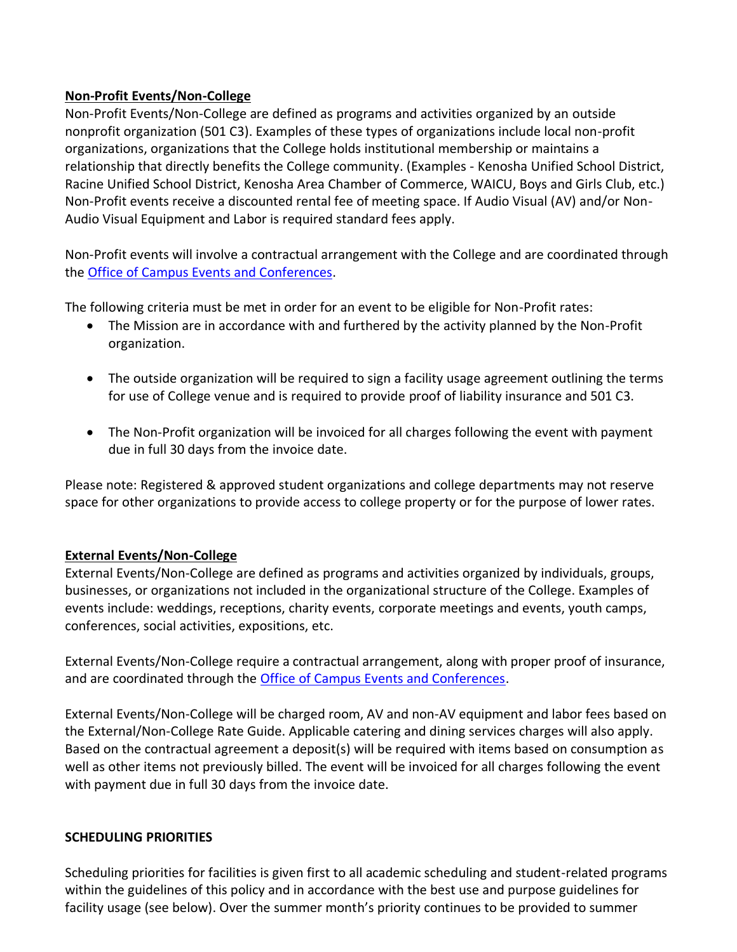## **Non-Profit Events/Non-College**

Non-Profit Events/Non-College are defined as programs and activities organized by an outside nonprofit organization (501 C3). Examples of these types of organizations include local non-profit organizations, organizations that the College holds institutional membership or maintains a relationship that directly benefits the College community. (Examples - Kenosha Unified School District, Racine Unified School District, Kenosha Area Chamber of Commerce, WAICU, Boys and Girls Club, etc.) Non-Profit events receive a discounted rental fee of meeting space. If Audio Visual (AV) and/or Non-Audio Visual Equipment and Labor is required standard fees apply.

Non-Profit events will involve a contractual arrangement with the College and are coordinated through the [Office of Campus Events and Conferences.](https://www.carthage.edu/community/conference-services/)

The following criteria must be met in order for an event to be eligible for Non-Profit rates:

- The Mission are in accordance with and furthered by the activity planned by the Non-Profit organization.
- The outside organization will be required to sign a facility usage agreement outlining the terms for use of College venue and is required to provide proof of liability insurance and 501 C3.
- The Non-Profit organization will be invoiced for all charges following the event with payment due in full 30 days from the invoice date.

Please note: Registered & approved student organizations and college departments may not reserve space for other organizations to provide access to college property or for the purpose of lower rates.

# **External Events/Non-College**

External Events/Non-College are defined as programs and activities organized by individuals, groups, businesses, or organizations not included in the organizational structure of the College. Examples of events include: weddings, receptions, charity events, corporate meetings and events, youth camps, conferences, social activities, expositions, etc.

External Events/Non-College require a contractual arrangement, along with proper proof of insurance, and are coordinated through the [Office of Campus Events and Conferences.](https://www.carthage.edu/community/conference-services/)

External Events/Non-College will be charged room, AV and non-AV equipment and labor fees based on the External/Non-College Rate Guide. Applicable catering and dining services charges will also apply. Based on the contractual agreement a deposit(s) will be required with items based on consumption as well as other items not previously billed. The event will be invoiced for all charges following the event with payment due in full 30 days from the invoice date.

# **SCHEDULING PRIORITIES**

Scheduling priorities for facilities is given first to all academic scheduling and student-related programs within the guidelines of this policy and in accordance with the best use and purpose guidelines for facility usage (see below). Over the summer month's priority continues to be provided to summer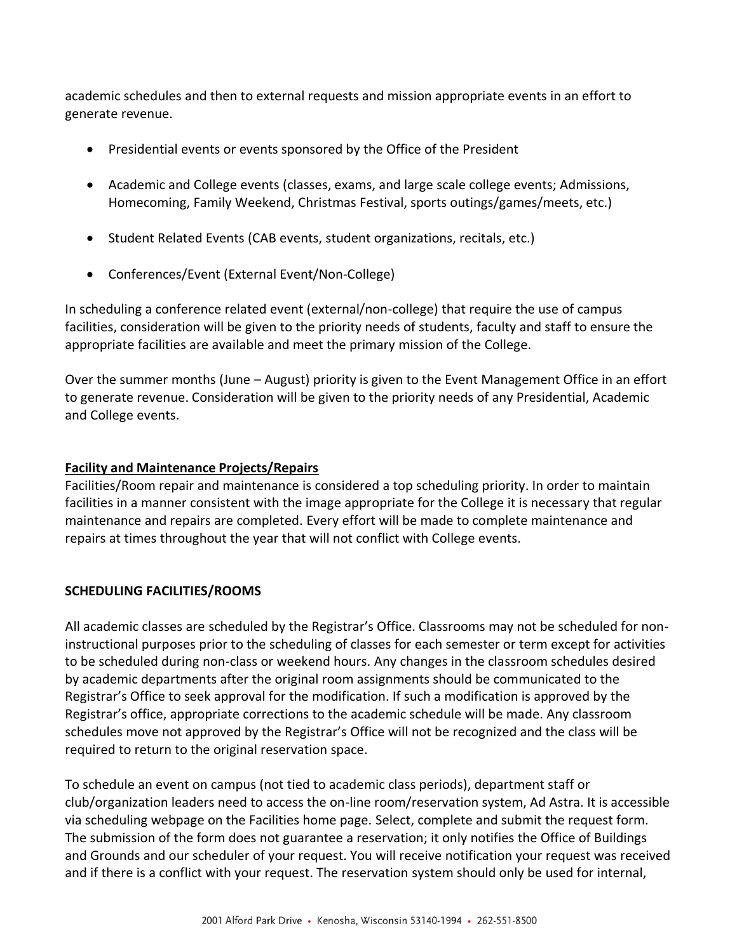academic schedules and then to external requests and mission appropriate events in an effort to generate revenue.

- Presidential events or events sponsored by the Office of the President
- Academic and College events (classes, exams, and large scale college events; Admissions, Homecoming, Family Weekend, Christmas Festival, sports outings/games/meets, etc.)
- Student Related Events (CAB events, student organizations, recitals, etc.)
- Conferences/Event (External Event/Non-College)

In scheduling a conference related event (external/non-college) that require the use of campus facilities, consideration will be given to the priority needs of students, faculty and staff to ensure the appropriate facilities are available and meet the primary mission of the College.

Over the summer months (June – August) priority is given to the Event Management Office in an effort to generate revenue. Consideration will be given to the priority needs of any Presidential, Academic and College events.

### **Facility and Maintenance Projects/Repairs**

Facilities/Room repair and maintenance is considered a top scheduling priority. In order to maintain facilities in a manner consistent with the image appropriate for the College it is necessary that regular maintenance and repairs are completed. Every effort will be made to complete maintenance and repairs at times throughout the year that will not conflict with College events.

# **SCHEDULING FACILITIES/ROOMS**

All academic classes are scheduled by the Registrar's Office. Classrooms may not be scheduled for noninstructional purposes prior to the scheduling of classes for each semester or term except for activities to be scheduled during non-class or weekend hours. Any changes in the classroom schedules desired by academic departments after the original room assignments should be communicated to the Registrar's Office to seek approval for the modification. If such a modification is approved by the Registrar's office, appropriate corrections to the academic schedule will be made. Any classroom schedules move not approved by the Registrar's Office will not be recognized and the class will be required to return to the original reservation space.

To schedule an event on campus (not tied to academic class periods), department staff or club/organization leaders need to access the on-line room/reservation system, Ad Astra. It is accessible via scheduling webpage on the Facilities home page. Select, complete and submit the request form. The submission of the form does not guarantee a reservation; it only notifies the Office of Buildings and Grounds and our scheduler of your request. You will receive notification your request was received and if there is a conflict with your request. The reservation system should only be used for internal,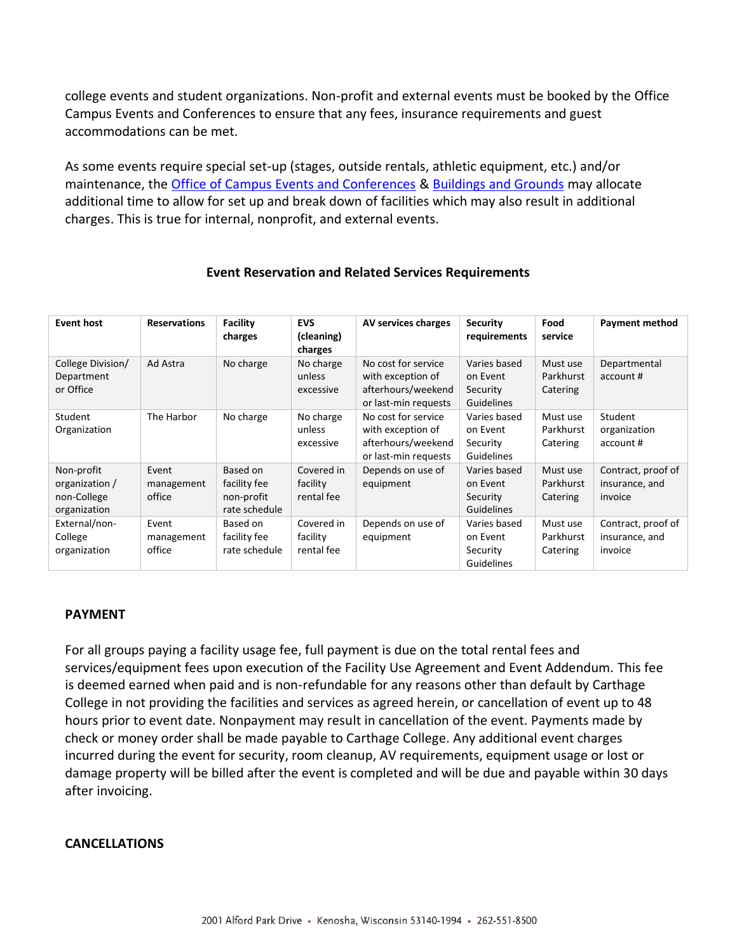college events and student organizations. Non-profit and external events must be booked by the Office Campus Events and Conferences to ensure that any fees, insurance requirements and guest accommodations can be met.

As some events require special set-up (stages, outside rentals, athletic equipment, etc.) and/or maintenance, the [Office of Campus Events and Conferences](https://www.carthage.edu/community/conference-services/) & [Buildings and Grounds](https://www.carthage.edu/about/offices-services/facilities-management/) may allocate additional time to allow for set up and break down of facilities which may also result in additional charges. This is true for internal, nonprofit, and external events.

| <b>Event host</b>                                           | <b>Reservations</b>           | Facility<br>charges                                     | <b>EVS</b><br>(cleaning)<br>charges  | AV services charges                                                                    | <b>Security</b><br>requirements                    | Food<br>service                   | <b>Payment method</b>                           |
|-------------------------------------------------------------|-------------------------------|---------------------------------------------------------|--------------------------------------|----------------------------------------------------------------------------------------|----------------------------------------------------|-----------------------------------|-------------------------------------------------|
| College Division/<br>Department<br>or Office                | Ad Astra                      | No charge                                               | No charge<br>unless<br>excessive     | No cost for service<br>with exception of<br>afterhours/weekend<br>or last-min requests | Varies based<br>on Event<br>Security<br>Guidelines | Must use<br>Parkhurst<br>Catering | Departmental<br>account #                       |
| Student<br>Organization                                     | The Harbor                    | No charge                                               | No charge<br>unless<br>excessive     | No cost for service<br>with exception of<br>afterhours/weekend<br>or last-min requests | Varies based<br>on Event<br>Security<br>Guidelines | Must use<br>Parkhurst<br>Catering | Student<br>organization<br>account#             |
| Non-profit<br>organization /<br>non-College<br>organization | Event<br>management<br>office | Based on<br>facility fee<br>non-profit<br>rate schedule | Covered in<br>facility<br>rental fee | Depends on use of<br>equipment                                                         | Varies based<br>on Event<br>Security<br>Guidelines | Must use<br>Parkhurst<br>Catering | Contract, proof of<br>insurance, and<br>invoice |
| External/non-<br>College<br>organization                    | Event<br>management<br>office | Based on<br>facility fee<br>rate schedule               | Covered in<br>facility<br>rental fee | Depends on use of<br>equipment                                                         | Varies based<br>on Event<br>Security<br>Guidelines | Must use<br>Parkhurst<br>Catering | Contract, proof of<br>insurance, and<br>invoice |

### **Event Reservation and Related Services Requirements**

### **PAYMENT**

For all groups paying a facility usage fee, full payment is due on the total rental fees and services/equipment fees upon execution of the Facility Use Agreement and Event Addendum. This fee is deemed earned when paid and is non-refundable for any reasons other than default by Carthage College in not providing the facilities and services as agreed herein, or cancellation of event up to 48 hours prior to event date. Nonpayment may result in cancellation of the event. Payments made by check or money order shall be made payable to Carthage College. Any additional event charges incurred during the event for security, room cleanup, AV requirements, equipment usage or lost or damage property will be billed after the event is completed and will be due and payable within 30 days after invoicing.

### **CANCELLATIONS**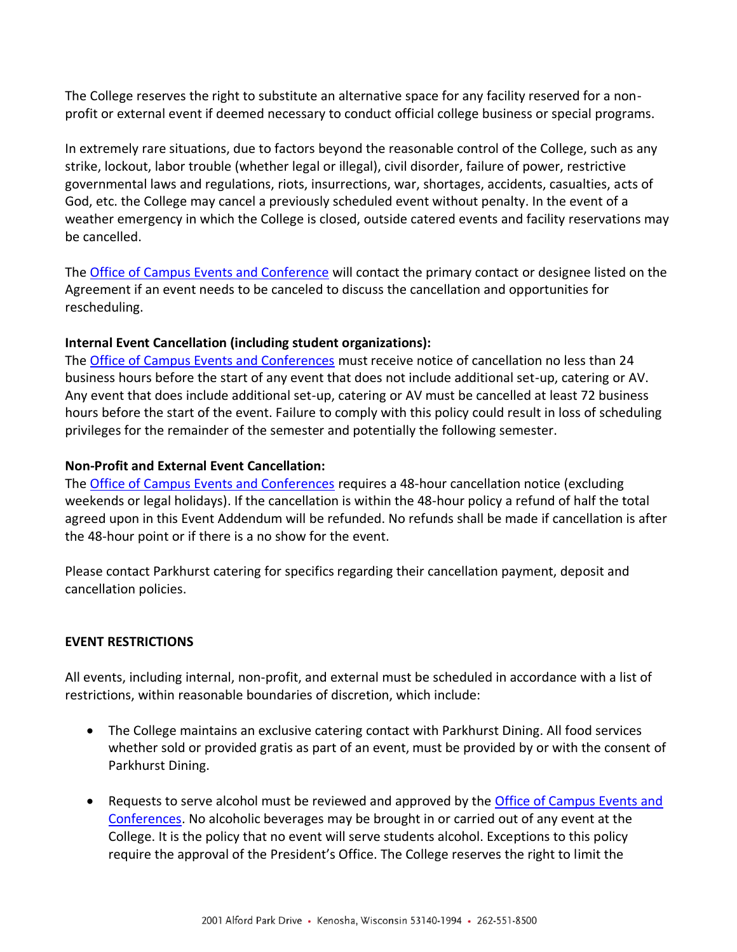The College reserves the right to substitute an alternative space for any facility reserved for a nonprofit or external event if deemed necessary to conduct official college business or special programs.

In extremely rare situations, due to factors beyond the reasonable control of the College, such as any strike, lockout, labor trouble (whether legal or illegal), civil disorder, failure of power, restrictive governmental laws and regulations, riots, insurrections, war, shortages, accidents, casualties, acts of God, etc. the College may cancel a previously scheduled event without penalty. In the event of a weather emergency in which the College is closed, outside catered events and facility reservations may be cancelled.

The [Office of Campus Events and Conference](https://www.carthage.edu/community/conference-services/) will contact the primary contact or designee listed on the Agreement if an event needs to be canceled to discuss the cancellation and opportunities for rescheduling.

### **Internal Event Cancellation (including student organizations):**

The [Office of Campus Events and Conferences](https://www.carthage.edu/community/conference-services/) must receive notice of cancellation no less than 24 business hours before the start of any event that does not include additional set-up, catering or AV. Any event that does include additional set-up, catering or AV must be cancelled at least 72 business hours before the start of the event. Failure to comply with this policy could result in loss of scheduling privileges for the remainder of the semester and potentially the following semester.

## **Non-Profit and External Event Cancellation:**

The [Office of Campus Events and Conferences](https://www.carthage.edu/community/conference-services/) requires a 48-hour cancellation notice (excluding weekends or legal holidays). If the cancellation is within the 48-hour policy a refund of half the total agreed upon in this Event Addendum will be refunded. No refunds shall be made if cancellation is after the 48-hour point or if there is a no show for the event.

Please contact Parkhurst catering for specifics regarding their cancellation payment, deposit and cancellation policies.

# **EVENT RESTRICTIONS**

All events, including internal, non-profit, and external must be scheduled in accordance with a list of restrictions, within reasonable boundaries of discretion, which include:

- The College maintains an exclusive catering contact with Parkhurst Dining. All food services whether sold or provided gratis as part of an event, must be provided by or with the consent of Parkhurst Dining.
- Requests to serve alcohol must be reviewed and approved by the [Office of Campus Events and](https://www.carthage.edu/community/conference-services/)  [Conferences.](https://www.carthage.edu/community/conference-services/) No alcoholic beverages may be brought in or carried out of any event at the College. It is the policy that no event will serve students alcohol. Exceptions to this policy require the approval of the President's Office. The College reserves the right to limit the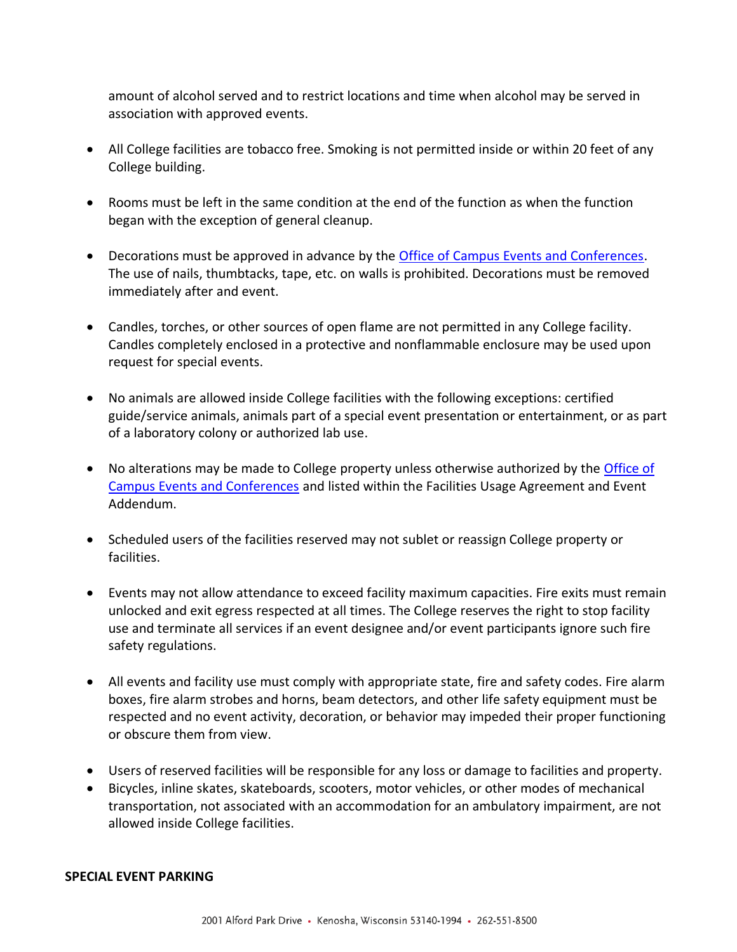amount of alcohol served and to restrict locations and time when alcohol may be served in association with approved events.

- All College facilities are tobacco free. Smoking is not permitted inside or within 20 feet of any College building.
- Rooms must be left in the same condition at the end of the function as when the function began with the exception of general cleanup.
- Decorations must be approved in advance by the [Office of Campus Events and Conferences.](https://www.carthage.edu/community/conference-services/) The use of nails, thumbtacks, tape, etc. on walls is prohibited. Decorations must be removed immediately after and event.
- Candles, torches, or other sources of open flame are not permitted in any College facility. Candles completely enclosed in a protective and nonflammable enclosure may be used upon request for special events.
- No animals are allowed inside College facilities with the following exceptions: certified guide/service animals, animals part of a special event presentation or entertainment, or as part of a laboratory colony or authorized lab use.
- No alterations may be made to College property unless otherwise authorized by the Office of [Campus Events and Conferences](https://www.carthage.edu/community/conference-services/) and listed within the Facilities Usage Agreement and Event Addendum.
- Scheduled users of the facilities reserved may not sublet or reassign College property or facilities.
- Events may not allow attendance to exceed facility maximum capacities. Fire exits must remain unlocked and exit egress respected at all times. The College reserves the right to stop facility use and terminate all services if an event designee and/or event participants ignore such fire safety regulations.
- All events and facility use must comply with appropriate state, fire and safety codes. Fire alarm boxes, fire alarm strobes and horns, beam detectors, and other life safety equipment must be respected and no event activity, decoration, or behavior may impeded their proper functioning or obscure them from view.
- Users of reserved facilities will be responsible for any loss or damage to facilities and property.
- Bicycles, inline skates, skateboards, scooters, motor vehicles, or other modes of mechanical transportation, not associated with an accommodation for an ambulatory impairment, are not allowed inside College facilities.

#### **SPECIAL EVENT PARKING**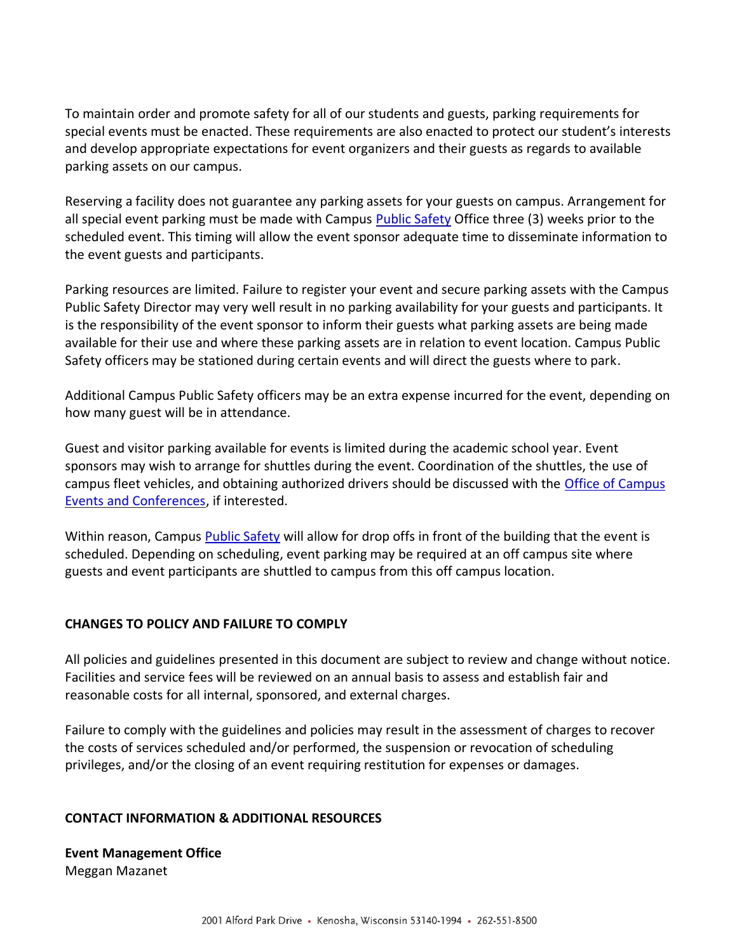To maintain order and promote safety for all of our students and guests, parking requirements for special events must be enacted. These requirements are also enacted to protect our student's interests and develop appropriate expectations for event organizers and their guests as regards to available parking assets on our campus.

Reserving a facility does not guarantee any parking assets for your guests on campus. Arrangement for all special event parking must be made with Campus [Public Safety](https://www.carthage.edu/life-at-carthage/health-wellness-safety/public-safety/) Office three (3) weeks prior to the scheduled event. This timing will allow the event sponsor adequate time to disseminate information to the event guests and participants.

Parking resources are limited. Failure to register your event and secure parking assets with the Campus Public Safety Director may very well result in no parking availability for your guests and participants. It is the responsibility of the event sponsor to inform their guests what parking assets are being made available for their use and where these parking assets are in relation to event location. Campus Public Safety officers may be stationed during certain events and will direct the guests where to park.

Additional Campus Public Safety officers may be an extra expense incurred for the event, depending on how many guest will be in attendance.

Guest and visitor parking available for events is limited during the academic school year. Event sponsors may wish to arrange for shuttles during the event. Coordination of the shuttles, the use of campus fleet vehicles, and obtaining authorized drivers should be discussed with the [Office of Campus](https://www.carthage.edu/community/conference-services/)  [Events and Conferences,](https://www.carthage.edu/community/conference-services/) if interested.

Within reason, Campus [Public Safety](https://www.carthage.edu/life-at-carthage/health-wellness-safety/public-safety/) will allow for drop offs in front of the building that the event is scheduled. Depending on scheduling, event parking may be required at an off campus site where guests and event participants are shuttled to campus from this off campus location.

### **CHANGES TO POLICY AND FAILURE TO COMPLY**

All policies and guidelines presented in this document are subject to review and change without notice. Facilities and service fees will be reviewed on an annual basis to assess and establish fair and reasonable costs for all internal, sponsored, and external charges.

Failure to comply with the guidelines and policies may result in the assessment of charges to recover the costs of services scheduled and/or performed, the suspension or revocation of scheduling privileges, and/or the closing of an event requiring restitution for expenses or damages.

### **CONTACT INFORMATION & ADDITIONAL RESOURCES**

**Event Management Office**  Meggan Mazanet